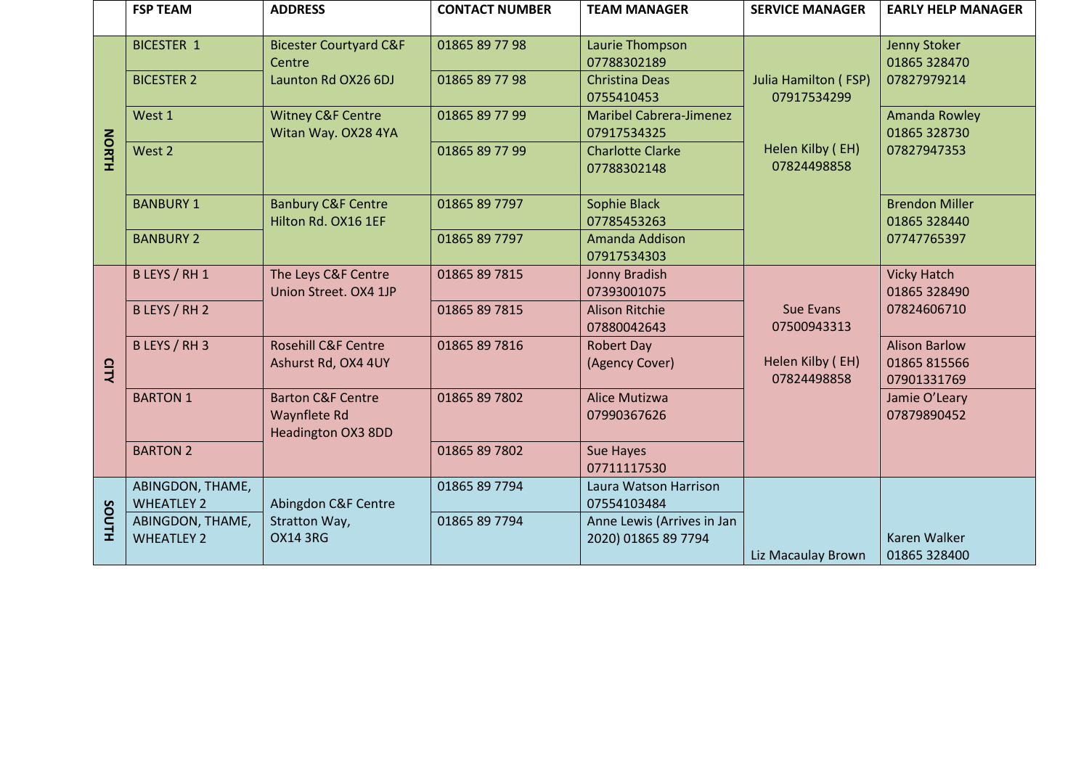|              | <b>FSP TEAM</b>                       | <b>ADDRESS</b>                                                                   | <b>CONTACT NUMBER</b> | <b>TEAM MANAGER</b>                               | <b>SERVICE MANAGER</b>                     | <b>EARLY HELP MANAGER</b>                           |
|--------------|---------------------------------------|----------------------------------------------------------------------------------|-----------------------|---------------------------------------------------|--------------------------------------------|-----------------------------------------------------|
|              | <b>BICESTER 1</b>                     | <b>Bicester Courtyard C&amp;F</b><br>Centre<br>Launton Rd OX26 6DJ               | 01865 89 77 98        | Laurie Thompson<br>07788302189                    | <b>Julia Hamilton (FSP)</b><br>07917534299 | Jenny Stoker<br>01865 328470                        |
|              | <b>BICESTER 2</b>                     |                                                                                  | 01865 89 77 98        | <b>Christina Deas</b><br>0755410453               |                                            | 07827979214                                         |
|              | West 1                                | <b>Witney C&amp;F Centre</b><br>Witan Way. OX28 4YA                              | 01865 89 77 99        | <b>Maribel Cabrera-Jimenez</b><br>07917534325     |                                            | Amanda Rowley<br>01865 328730                       |
| <b>NORTH</b> | West 2                                |                                                                                  | 01865 89 77 99        | <b>Charlotte Clarke</b><br>07788302148            | Helen Kilby (EH)<br>07824498858            | 07827947353                                         |
|              | <b>BANBURY 1</b>                      | <b>Banbury C&amp;F Centre</b><br>Hilton Rd. OX16 1EF                             | 01865 89 7797         | Sophie Black<br>07785453263                       |                                            | <b>Brendon Miller</b><br>01865 328440               |
|              | <b>BANBURY 2</b>                      |                                                                                  | 01865 89 7797         | Amanda Addison<br>07917534303                     |                                            | 07747765397                                         |
|              | B LEYS / RH 1                         | The Leys C&F Centre<br>Union Street. OX4 1JP                                     | 01865 89 7815         | Jonny Bradish<br>07393001075                      |                                            | <b>Vicky Hatch</b><br>01865 328490                  |
|              | B LEYS / RH 2                         |                                                                                  | 01865 89 7815         | <b>Alison Ritchie</b><br>07880042643              | <b>Sue Evans</b><br>07500943313            | 07824606710                                         |
| CITY         | B LEYS / RH 3                         | <b>Rosehill C&amp;F Centre</b><br>Ashurst Rd, OX4 4UY                            | 01865 89 7816         | Robert Day<br>(Agency Cover)                      | Helen Kilby (EH)<br>07824498858            | <b>Alison Barlow</b><br>01865 815566<br>07901331769 |
|              | <b>BARTON 1</b>                       | <b>Barton C&amp;F Centre</b><br><b>Waynflete Rd</b><br><b>Headington OX3 8DD</b> | 01865 89 7802         | Alice Mutizwa<br>07990367626                      |                                            | Jamie O'Leary<br>07879890452                        |
|              | <b>BARTON 2</b>                       |                                                                                  | 01865 89 7802         | <b>Sue Hayes</b><br>07711117530                   |                                            |                                                     |
| <b>HLNOS</b> | ABINGDON, THAME,<br><b>WHEATLEY 2</b> | Abingdon C&F Centre                                                              | 01865 89 7794         | Laura Watson Harrison<br>07554103484              |                                            |                                                     |
|              | ABINGDON, THAME,<br><b>WHEATLEY 2</b> | Stratton Way,<br><b>OX14 3RG</b>                                                 | 01865 89 7794         | Anne Lewis (Arrives in Jan<br>2020) 01865 89 7794 | Liz Macaulay Brown                         | <b>Karen Walker</b><br>01865 328400                 |